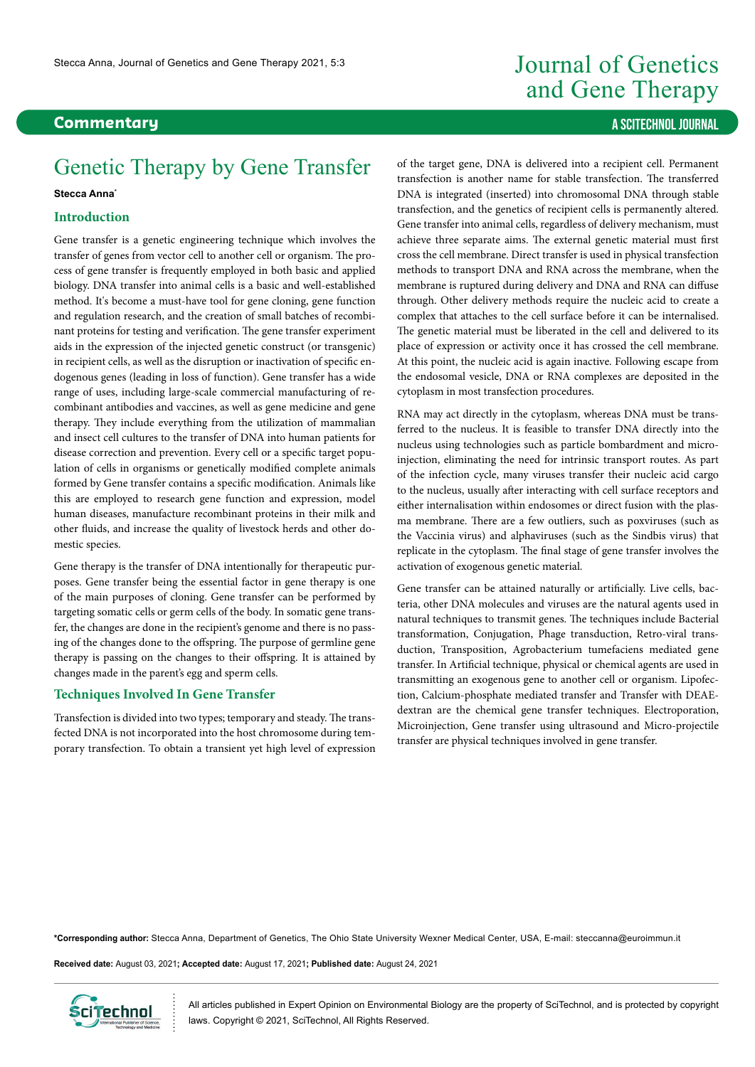# **Commentary A SCITECHNOL JOURNAL**

# Genetic Therapy by Gene Transfer

#### **Stecca Anna\***

## **Introduction**

Gene transfer is a genetic engineering technique which involves the transfer of genes from vector cell to another cell or organism. The process of gene transfer is frequently employed in both basic and applied biology. DNA transfer into animal cells is a basic and well-established method. It's become a must-have tool for gene cloning, gene function and regulation research, and the creation of small batches of recombinant proteins for testing and verification. The gene transfer experiment aids in the expression of the injected genetic construct (or transgenic) in recipient cells, as well as the disruption or inactivation of specific endogenous genes (leading in loss of function). Gene transfer has a wide range of uses, including large-scale commercial manufacturing of recombinant antibodies and vaccines, as well as gene medicine and gene therapy. They include everything from the utilization of mammalian and insect cell cultures to the transfer of DNA into human patients for disease correction and prevention. Every cell or a specific target population of cells in organisms or genetically modified complete animals formed by Gene transfer contains a specific modification. Animals like this are employed to research gene function and expression, model human diseases, manufacture recombinant proteins in their milk and other fluids, and increase the quality of livestock herds and other domestic species.

Gene therapy is the transfer of DNA intentionally for therapeutic purposes. Gene transfer being the essential factor in gene therapy is one of the main purposes of cloning. Gene transfer can be performed by targeting somatic cells or germ cells of the body. In somatic gene transfer, the changes are done in the recipient's genome and there is no passing of the changes done to the offspring. The purpose of germline gene therapy is passing on the changes to their offspring. It is attained by changes made in the parent's egg and sperm cells.

### **Techniques Involved In Gene Transfer**

Transfection is divided into two types; temporary and steady. The transfected DNA is not incorporated into the host chromosome during temporary transfection. To obtain a transient yet high level of expression

# Journal of Genetics and Gene Therapy

of the target gene, DNA is delivered into a recipient cell. Permanent transfection is another name for stable transfection. The transferred DNA is integrated (inserted) into chromosomal DNA through stable transfection, and the genetics of recipient cells is permanently altered. Gene transfer into animal cells, regardless of delivery mechanism, must achieve three separate aims. The external genetic material must first cross the cell membrane. Direct transfer is used in physical transfection methods to transport DNA and RNA across the membrane, when the membrane is ruptured during delivery and DNA and RNA can diffuse through. Other delivery methods require the nucleic acid to create a complex that attaches to the cell surface before it can be internalised. The genetic material must be liberated in the cell and delivered to its place of expression or activity once it has crossed the cell membrane. At this point, the nucleic acid is again inactive. Following escape from the endosomal vesicle, DNA or RNA complexes are deposited in the cytoplasm in most transfection procedures.

RNA may act directly in the cytoplasm, whereas DNA must be transferred to the nucleus. It is feasible to transfer DNA directly into the nucleus using technologies such as particle bombardment and microinjection, eliminating the need for intrinsic transport routes. As part of the infection cycle, many viruses transfer their nucleic acid cargo to the nucleus, usually after interacting with cell surface receptors and either internalisation within endosomes or direct fusion with the plasma membrane. There are a few outliers, such as poxviruses (such as the Vaccinia virus) and alphaviruses (such as the Sindbis virus) that replicate in the cytoplasm. The final stage of gene transfer involves the activation of exogenous genetic material.

Gene transfer can be attained naturally or artificially. Live cells, bacteria, other DNA molecules and viruses are the natural agents used in natural techniques to transmit genes. The techniques include Bacterial transformation, Conjugation, Phage transduction, Retro-viral transduction, Transposition, Agrobacterium tumefaciens mediated gene transfer. In Artificial technique, physical or chemical agents are used in transmitting an exogenous gene to another cell or organism. Lipofection, Calcium-phosphate mediated transfer and Transfer with DEAEdextran are the chemical gene transfer techniques. Electroporation, Microinjection, Gene transfer using ultrasound and Micro-projectile transfer are physical techniques involved in gene transfer.

**\*Corresponding author:** Stecca Anna, Department of Genetics, The Ohio State University Wexner Medical Center, USA, E-mail: steccanna@euroimmun.it

**Received date:** August 03, 2021**; Accepted date:** August 17, 2021**; Published date:** August 24, 2021



All articles published in Expert Opinion on Environmental Biology are the property of SciTechnol, and is protected by copyright laws. Copyright © 2021, SciTechnol, All Rights Reserved.